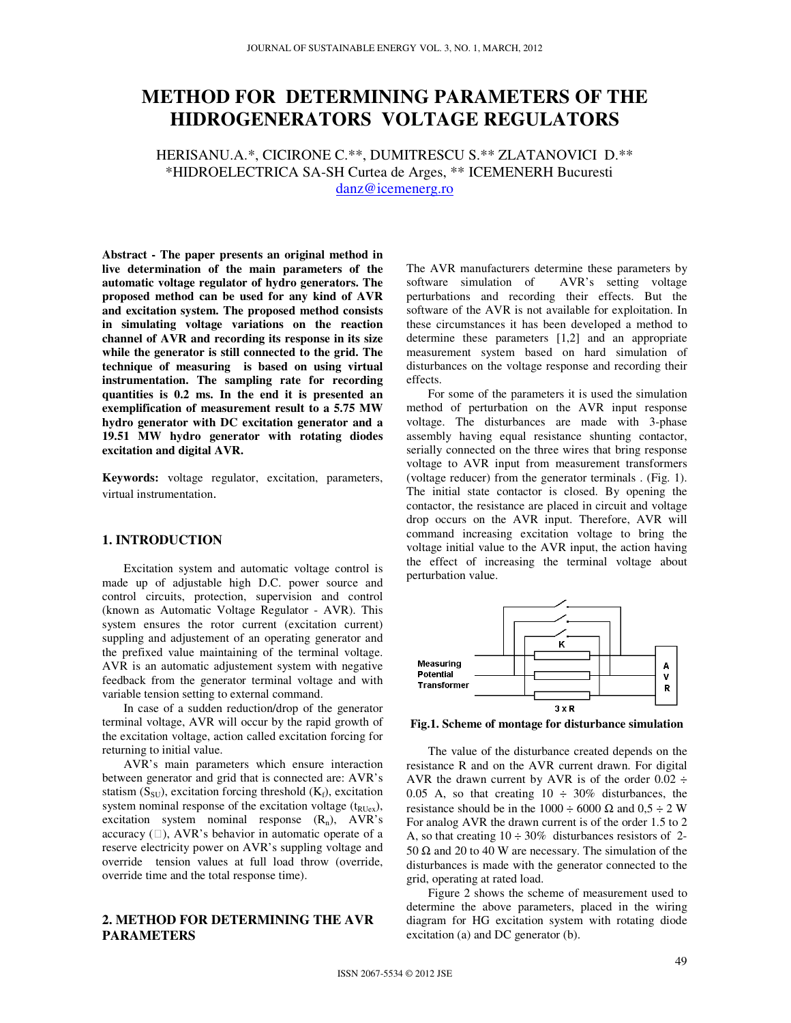# **METHOD FOR DETERMINING PARAMETERS OF THE HIDROGENERATORS VOLTAGE REGULATORS**

HERISANU.A.\*, CICIRONE C.\*\*, DUMITRESCU S.\*\* ZLATANOVICI D.\*\* \*HIDROELECTRICA SA-SH Curtea de Arges, \*\* ICEMENERH Bucuresti

danz@icemenerg.ro

**Abstract - The paper presents an original method in live determination of the main parameters of the automatic voltage regulator of hydro generators. The proposed method can be used for any kind of AVR and excitation system. The proposed method consists in simulating voltage variations on the reaction channel of AVR and recording its response in its size while the generator is still connected to the grid. The technique of measuring is based on using virtual instrumentation. The sampling rate for recording quantities is 0.2 ms. In the end it is presented an exemplification of measurement result to a 5.75 MW hydro generator with DC excitation generator and a 19.51 MW hydro generator with rotating diodes excitation and digital AVR.** 

**Keywords:** voltage regulator, excitation, parameters, virtual instrumentation.

# **1. INTRODUCTION**

 Excitation system and automatic voltage control is made up of adjustable high D.C. power source and control circuits, protection, supervision and control (known as Automatic Voltage Regulator - AVR). This system ensures the rotor current (excitation current) suppling and adjustement of an operating generator and the prefixed value maintaining of the terminal voltage. AVR is an automatic adjustement system with negative feedback from the generator terminal voltage and with variable tension setting to external command.

 In case of a sudden reduction/drop of the generator terminal voltage, AVR will occur by the rapid growth of the excitation voltage, action called excitation forcing for returning to initial value.

 AVR's main parameters which ensure interaction between generator and grid that is connected are: AVR's statism ( $S_{SU}$ ), excitation forcing threshold ( $K_f$ ), excitation system nominal response of the excitation voltage  $(t_{RUex})$ , excitation system nominal response  $(R_n)$ , AVR's accuracy (), AVR's behavior in automatic operate of a reserve electricity power on AVR's suppling voltage and override tension values at full load throw (override, override time and the total response time).

# **2. METHOD FOR DETERMINING THE AVR PARAMETERS**

The AVR manufacturers determine these parameters by software simulation of AVR's setting voltage perturbations and recording their effects. But the software of the AVR is not available for exploitation. In these circumstances it has been developed a method to determine these parameters [1,2] and an appropriate measurement system based on hard simulation of disturbances on the voltage response and recording their effects.

 For some of the parameters it is used the simulation method of perturbation on the AVR input response voltage. The disturbances are made with 3-phase assembly having equal resistance shunting contactor, serially connected on the three wires that bring response voltage to AVR input from measurement transformers (voltage reducer) from the generator terminals . (Fig. 1). The initial state contactor is closed. By opening the contactor, the resistance are placed in circuit and voltage drop occurs on the AVR input. Therefore, AVR will command increasing excitation voltage to bring the voltage initial value to the AVR input, the action having the effect of increasing the terminal voltage about perturbation value.



**Fig.1. Scheme of montage for disturbance simulation**

The value of the disturbance created depends on the resistance R and on the AVR current drawn. For digital AVR the drawn current by AVR is of the order  $0.02 \div$ 0.05 A, so that creating  $10 \div 30\%$  disturbances, the resistance should be in the 1000 ÷ 6000  $\Omega$  and 0,5 ÷ 2 W For analog AVR the drawn current is of the order 1.5 to 2 A, so that creating  $10 \div 30\%$  disturbances resistors of 2-50  $\Omega$  and 20 to 40 W are necessary. The simulation of the disturbances is made with the generator connected to the grid, operating at rated load.

Figure 2 shows the scheme of measurement used to determine the above parameters, placed in the wiring diagram for HG excitation system with rotating diode excitation (a) and DC generator (b).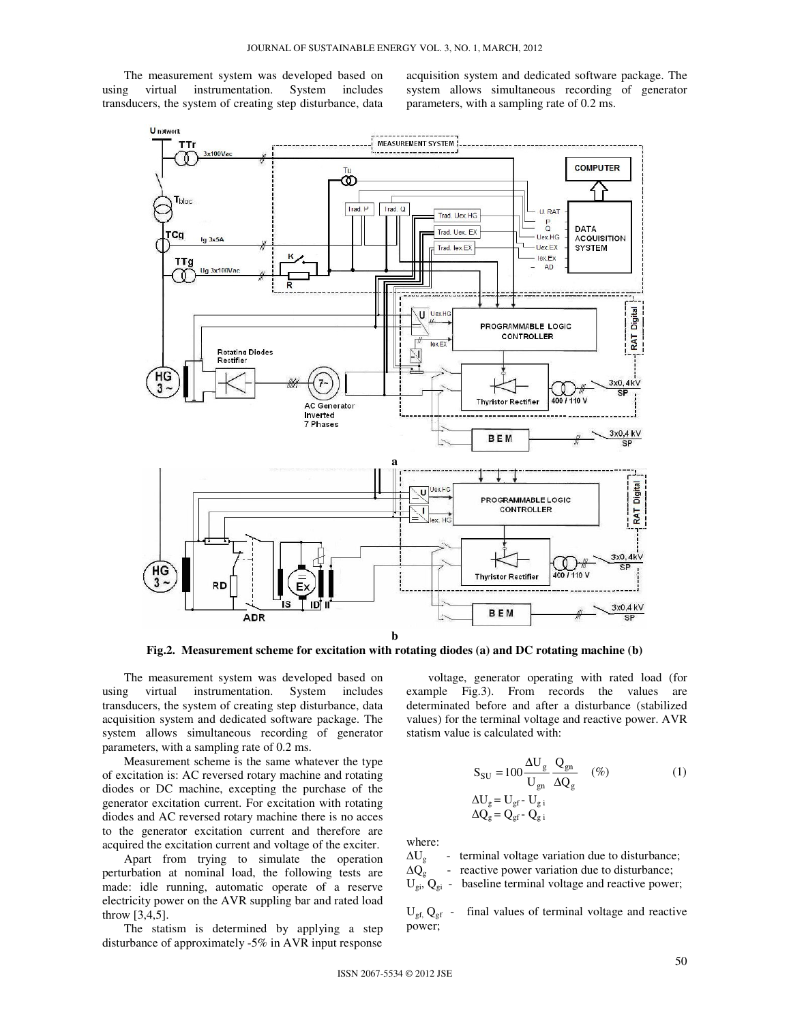The measurement system was developed based on using virtual instrumentation. System includes transducers, the system of creating step disturbance, data acquisition system and dedicated software package. The system allows simultaneous recording of generator parameters, with a sampling rate of 0.2 ms.



**Fig.2. Measurement scheme for excitation with rotating diodes (a) and DC rotating machine (b)** 

The measurement system was developed based on using virtual instrumentation. System includes transducers, the system of creating step disturbance, data acquisition system and dedicated software package. The system allows simultaneous recording of generator parameters, with a sampling rate of 0.2 ms.

Measurement scheme is the same whatever the type of excitation is: AC reversed rotary machine and rotating diodes or DC machine, excepting the purchase of the generator excitation current. For excitation with rotating diodes and AC reversed rotary machine there is no acces to the generator excitation current and therefore are acquired the excitation current and voltage of the exciter.

Apart from trying to simulate the operation perturbation at nominal load, the following tests are made: idle running, automatic operate of a reserve electricity power on the AVR suppling bar and rated load throw [3,4,5].

The statism is determined by applying a step disturbance of approximately -5% in AVR input response

voltage, generator operating with rated load (for example Fig.3). From records the values are determinated before and after a disturbance (stabilized values) for the terminal voltage and reactive power. AVR statism value is calculated with:

$$
S_{SU} = 100 \frac{\Delta U_g}{U_{gn}} \frac{Q_{gn}}{\Delta Q_g} \quad (\%)
$$
  
\n
$$
\Delta U_g = U_{gf} - U_{g i} \quad (\%)
$$
  
\n
$$
\Delta Q_g = Q_{gf} - Q_{g i}
$$
 (1)

where:

 $\Delta U_{g}$  - terminal voltage variation due to disturbance;

 $\Delta Q_g$  - reactive power variation due to disturbance;

 $U_{gi}$ ,  $Q_{gi}$  - baseline terminal voltage and reactive power;

 $U_{gf}$ ,  $Q_{gf}$  - final values of terminal voltage and reactive power;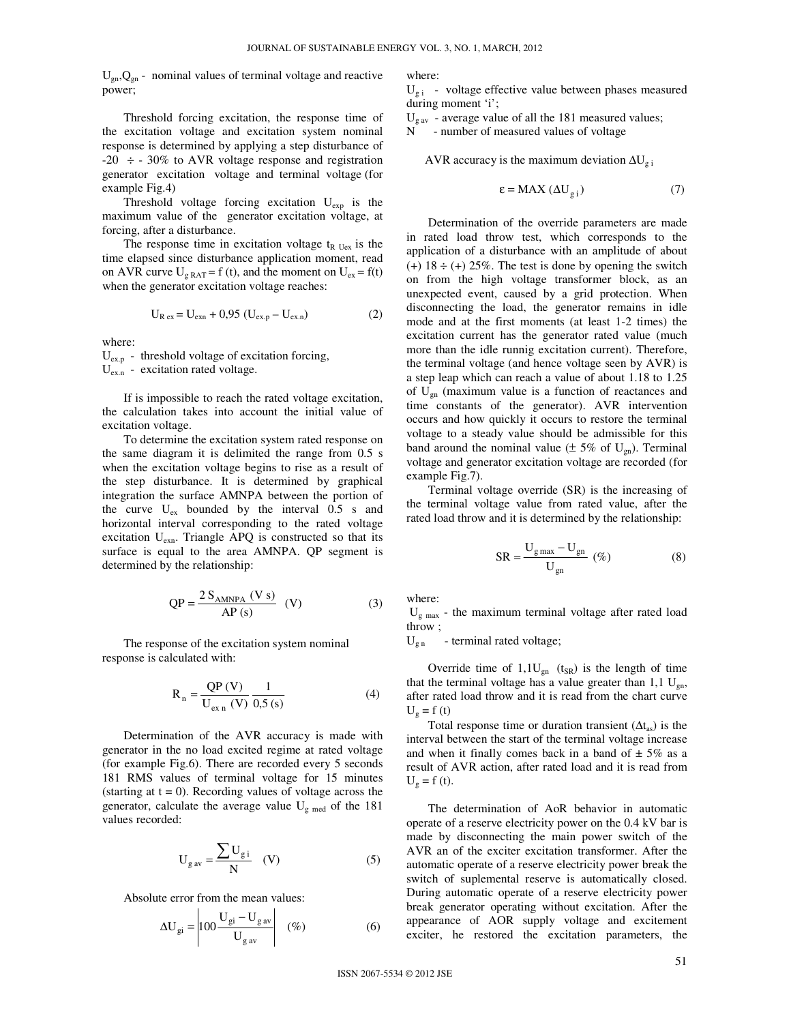$U_{gn}Q_{gn}$  - nominal values of terminal voltage and reactive power;

 Threshold forcing excitation, the response time of the excitation voltage and excitation system nominal response is determined by applying a step disturbance of  $-20 \div 30\%$  to AVR voltage response and registration generator excitation voltage and terminal voltage (for example Fig.4)

 Threshold voltage forcing excitation Uexp is the maximum value of the generator excitation voltage, at forcing, after a disturbance.

The response time in excitation voltage  $t_{R \text{Uex}}$  is the time elapsed since disturbance application moment, read on AVR curve  $U_{g RAT} = f(t)$ , and the moment on  $U_{ex} = f(t)$ when the generator excitation voltage reaches:

$$
U_{R \text{ ex}} = U_{\text{exn}} + 0.95 (U_{\text{ex,p}} - U_{\text{ex,n}})
$$
 (2)

where:

 $U_{\text{ex},p}$  - threshold voltage of excitation forcing, Uex.n - excitation rated voltage.

 If is impossible to reach the rated voltage excitation, the calculation takes into account the initial value of excitation voltage.

 To determine the excitation system rated response on the same diagram it is delimited the range from 0.5 s when the excitation voltage begins to rise as a result of the step disturbance. It is determined by graphical integration the surface AMNPA between the portion of the curve  $U_{ex}$  bounded by the interval 0.5 s and horizontal interval corresponding to the rated voltage excitation U<sub>exn</sub>. Triangle APQ is constructed so that its surface is equal to the area AMNPA. QP segment is determined by the relationship:

$$
QP = \frac{2 S_{AMNPA} (V s)}{AP (s)}
$$
 (V) (3)

 The response of the excitation system nominal response is calculated with:

$$
R_n = \frac{QP(V)}{U_{exn}(V)} \frac{1}{0.5 \text{ (s)}}
$$
(4)

 Determination of the AVR accuracy is made with generator in the no load excited regime at rated voltage (for example Fig.6). There are recorded every 5 seconds 181 RMS values of terminal voltage for 15 minutes (starting at  $t = 0$ ). Recording values of voltage across the generator, calculate the average value  $U_{\rm g \, med}$  of the 181 values recorded:

$$
U_{\rm{g}\,av} = \frac{\sum U_{\rm{g}\,i}}{N} \quad (V) \tag{5}
$$

Absolute error from the mean values:

$$
\Delta U_{gi} = \begin{vmatrix} 100 \frac{U_{gi} - U_{gav}}{U_{gav}} & (\%) & (6) \end{vmatrix}
$$

where:

 $U_{g,i}$  - voltage effective value between phases measured during moment 'i';

 $U_{\rm gav}$  - average value of all the 181 measured values;

N - number of measured values of voltage

AVR accuracy is the maximum deviation  $\Delta U_{g,i}$ 

$$
\varepsilon = \text{MAX} \left( \Delta U_{g,i} \right) \tag{7}
$$

Determination of the override parameters are made in rated load throw test, which corresponds to the application of a disturbance with an amplitude of about  $(+)$  18  $\div$  (+) 25%. The test is done by opening the switch on from the high voltage transformer block, as an unexpected event, caused by a grid protection. When disconnecting the load, the generator remains in idle mode and at the first moments (at least 1-2 times) the excitation current has the generator rated value (much more than the idle runnig excitation current). Therefore, the terminal voltage (and hence voltage seen by AVR) is a step leap which can reach a value of about 1.18 to 1.25 of  $U_{gn}$  (maximum value is a function of reactances and time constants of the generator). AVR intervention occurs and how quickly it occurs to restore the terminal voltage to a steady value should be admissible for this band around the nominal value ( $\pm$  5% of U<sub>gn</sub>). Terminal voltage and generator excitation voltage are recorded (for example Fig.7).

Terminal voltage override (SR) is the increasing of the terminal voltage value from rated value, after the rated load throw and it is determined by the relationship:

$$
SR = \frac{U_{\text{gmax}} - U_{\text{gn}}}{U_{\text{gn}}}
$$
 (%) (8)

where:

 $U_{\rm g \, max}$  - the maximum terminal voltage after rated load throw ;

 $U_{\rm g,n}$  - terminal rated voltage;

Override time of  $1,1U_{\text{gn}}$  (t<sub>SR</sub>) is the length of time that the terminal voltage has a value greater than  $1,1 \text{ U}_{\text{gn}}$ , after rated load throw and it is read from the chart curve  $U_g = f(t)$ 

Total response time or duration transient  $(\Delta t_{as})$  is the interval between the start of the terminal voltage increase and when it finally comes back in a band of  $\pm$  5% as a result of AVR action, after rated load and it is read from  $U_g = f(t)$ .

The determination of AoR behavior in automatic operate of a reserve electricity power on the 0.4 kV bar is made by disconnecting the main power switch of the AVR an of the exciter excitation transformer. After the automatic operate of a reserve electricity power break the switch of suplemental reserve is automatically closed. During automatic operate of a reserve electricity power break generator operating without excitation. After the appearance of AOR supply voltage and excitement exciter, he restored the excitation parameters, the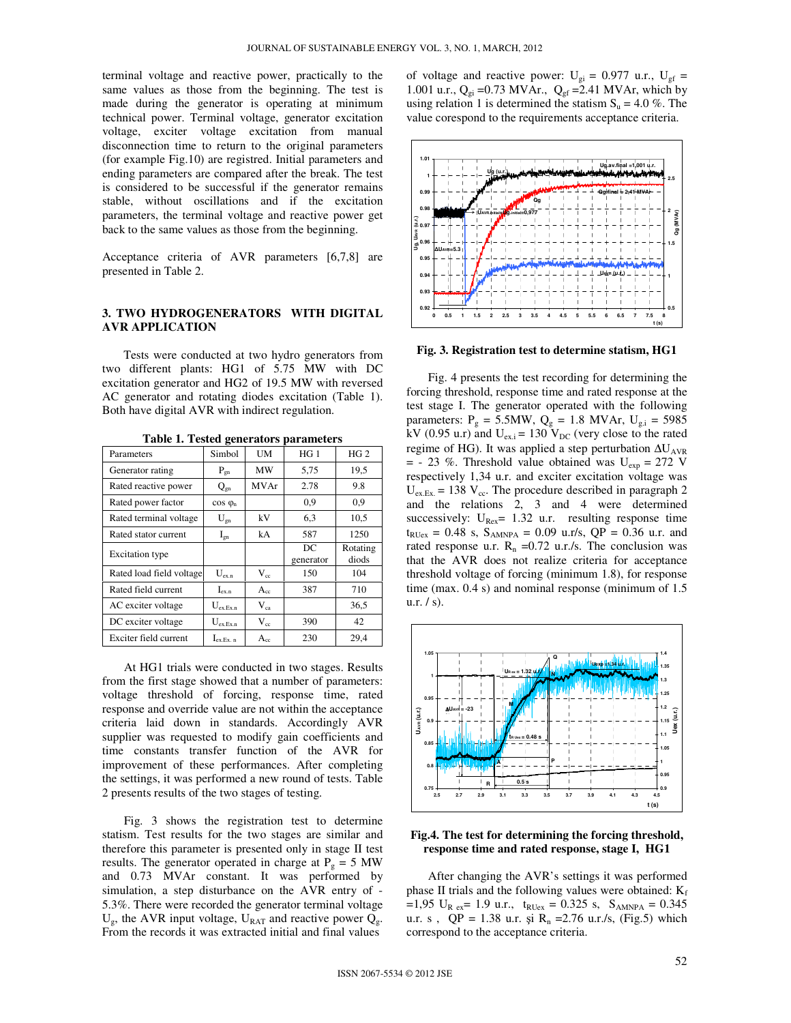terminal voltage and reactive power, practically to the same values as those from the beginning. The test is made during the generator is operating at minimum technical power. Terminal voltage, generator excitation voltage, exciter voltage excitation from manual disconnection time to return to the original parameters (for example Fig.10) are registred. Initial parameters and ending parameters are compared after the break. The test is considered to be successful if the generator remains stable, without oscillations and if the excitation parameters, the terminal voltage and reactive power get back to the same values as those from the beginning.

Acceptance criteria of AVR parameters [6,7,8] are presented in Table 2.

## **3. TWO HYDROGENERATORS WITH DIGITAL AVR APPLICATION**

 Tests were conducted at two hydro generators from two different plants: HG1 of 5.75 MW with DC excitation generator and HG2 of 19.5 MW with reversed AC generator and rotating diodes excitation (Table 1). Both have digital AVR with indirect regulation.

| Parameters               | Simbol                       | <b>UM</b>    | HG <sub>1</sub> | HG <sub>2</sub>   |
|--------------------------|------------------------------|--------------|-----------------|-------------------|
| Generator rating         | $P_{gn}$                     | MW           | 5.75            | 19,5              |
| Rated reactive power     | $Q_{gn}$                     | <b>MVAr</b>  | 2.78            | 9.8               |
| Rated power factor       | $cos \varphi_n$              |              | 0.9             | 0,9               |
| Rated terminal voltage   | $U_{gn}$                     | kV           | 6,3             | 10.5              |
| Rated stator current     | $I_{gn}$                     | kA           | 587             | 1250              |
| <b>Excitation</b> type   |                              |              | DC<br>generator | Rotating<br>diods |
| Rated load field voltage | $U_{\text{ex}}$ <sub>n</sub> | $V_{cc}$     | 150             | 104               |
| Rated field current      | $I_{ex.n}$                   | $A_{cc}$     | 387             | 710               |
| AC exciter voltage       | $U_{\rm ex.Ex.n}$            | $\rm V_{ca}$ |                 | 36,5              |
| DC exciter voltage       | $U_{ex.Ex.n}$                | $V_{cc}$     | 390             | 42                |
| Exciter field current    | $I_{\text{ex.Ex. n}}$        | $A_{cc}$     | 230             | 29,4              |

**Table 1. Tested generators parameters** 

At HG1 trials were conducted in two stages. Results from the first stage showed that a number of parameters: voltage threshold of forcing, response time, rated response and override value are not within the acceptance criteria laid down in standards. Accordingly AVR supplier was requested to modify gain coefficients and time constants transfer function of the AVR for improvement of these performances. After completing the settings, it was performed a new round of tests. Table 2 presents results of the two stages of testing.

Fig. 3 shows the registration test to determine statism. Test results for the two stages are similar and therefore this parameter is presented only in stage II test results. The generator operated in charge at  $P<sub>g</sub> = 5$  MW and 0.73 MVAr constant. It was performed by simulation, a step disturbance on the AVR entry of - 5.3%. There were recorded the generator terminal voltage  $U_g$ , the AVR input voltage,  $U_{RAT}$  and reactive power  $Q_g$ . From the records it was extracted initial and final values

of voltage and reactive power:  $U_{gi} = 0.977$  u.r.,  $U_{gf} =$ 1.001 u.r.,  $Q_{gi} = 0.73 \text{ MVAr.}, Q_{gf} = 2.41 \text{MVAr, which by}$ using relation 1 is determined the statism  $S_u = 4.0\%$ . The value corespond to the requirements acceptance criteria.



**Fig. 3. Registration test to determine statism, HG1**

Fig. 4 presents the test recording for determining the forcing threshold, response time and rated response at the test stage I. The generator operated with the following parameters:  $P_g = 5.5MW$ ,  $Q_g = 1.8$  MVAr,  $U_{g,i} = 5985$ kV (0.95 u.r) and  $U_{\text{ex},i} = 130$  V<sub>DC</sub> (very close to the rated regime of HG). It was applied a step perturbation  $\Delta U_{AVR}$  $=$  - 23 %. Threshold value obtained was U<sub>exp</sub> = 272 V respectively 1,34 u.r. and exciter excitation voltage was  $U_{\text{ex.Ex.}}$  = 138  $V_{\text{cc}}$ . The procedure described in paragraph 2 and the relations 2, 3 and 4 were determined successively:  $U_{\text{Rex}}$  = 1.32 u.r. resulting response time  $t_{RUex} = 0.48$  s,  $S_{AMNPA} = 0.09$  u.r/s, QP = 0.36 u.r. and rated response u.r.  $R_n = 0.72$  u.r./s. The conclusion was that the AVR does not realize criteria for acceptance threshold voltage of forcing (minimum 1.8), for response time (max. 0.4 s) and nominal response (minimum of 1.5 u.r.  $/s$ ).



#### **Fig.4. The test for determining the forcing threshold, response time and rated response, stage I, HG1**

After changing the AVR's settings it was performed phase II trials and the following values were obtained:  $K_f$  $=1,95$  U<sub>R ex</sub> = 1.9 u.r., t<sub>RUex</sub> = 0.325 s, S<sub>AMNPA</sub> = 0.345 u.r. s,  $QP = 1.38$  u.r. și  $R_n = 2.76$  u.r./s, (Fig.5) which correspond to the acceptance criteria.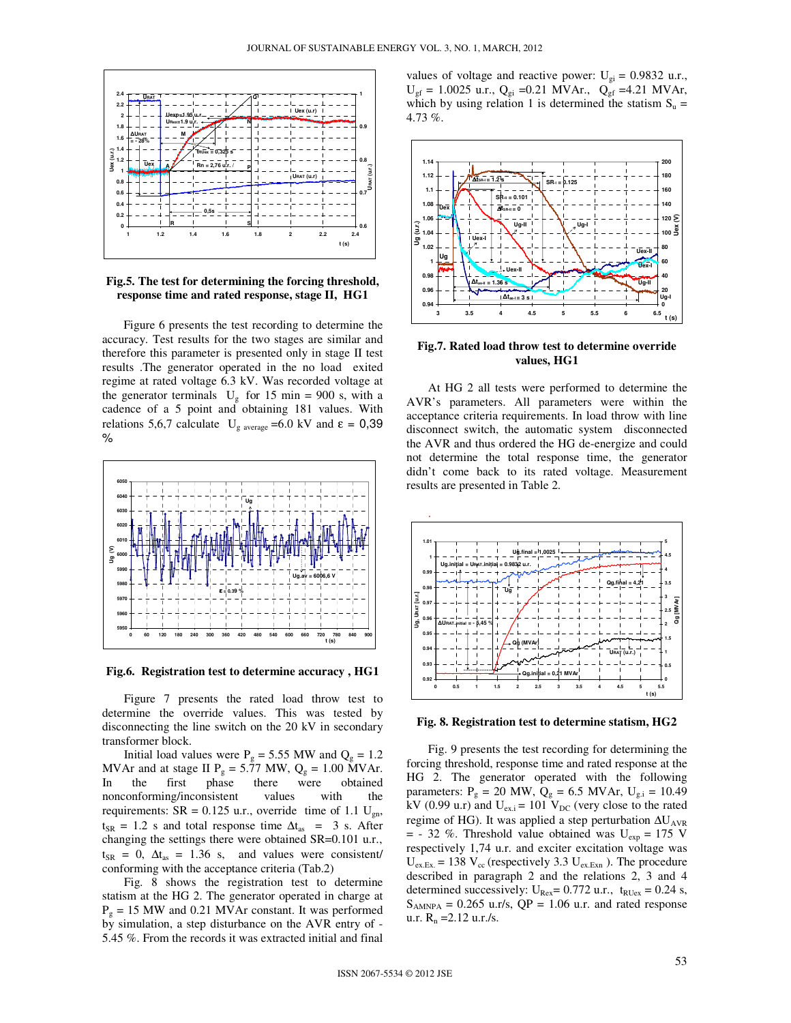

# **Fig.5. The test for determining the forcing threshold, response time and rated response, stage II, HG1**

 Figure 6 presents the test recording to determine the accuracy. Test results for the two stages are similar and therefore this parameter is presented only in stage II test results .The generator operated in the no load exited regime at rated voltage 6.3 kV. Was recorded voltage at the generator terminals  $U_g$  for 15 min = 900 s, with a cadence of a 5 point and obtaining 181 values. With relations 5,6,7 calculate  $U_{\rm g\ average}$  =6.0 kV and  $\varepsilon = 0,39$ %



**Fig.6. Registration test to determine accuracy , HG1** 

Figure 7 presents the rated load throw test to determine the override values. This was tested by disconnecting the line switch on the 20 kV in secondary transformer block.

Initial load values were  $P_g = 5.55$  MW and  $Q_g = 1.2$ MVAr and at stage II  $P_g = 5.77$  MW,  $Q_g = 1.00$  MVAr. In the first phase there were obtained nonconforming/inconsistent values with the requirements:  $SR = 0.125$  u.r., override time of 1.1 U<sub>gn</sub>,  $t_{SR}$  = 1.2 s and total response time  $\Delta t_{as}$  = 3 s. After changing the settings there were obtained SR=0.101 u.r.,  $t_{SR}$  = 0,  $\Delta t_{as}$  = 1.36 s, and values were consistent/ conforming with the acceptance criteria (Tab.2)

Fig. 8 shows the registration test to determine statism at the HG 2. The generator operated in charge at  $P_g = 15$  MW and 0.21 MVAr constant. It was performed by simulation, a step disturbance on the AVR entry of - 5.45 %. From the records it was extracted initial and final values of voltage and reactive power:  $U_{gi} = 0.9832$  u.r.,  $U_{gf} = 1.0025$  u.r.,  $Q_{gi} = 0.21$  MVAr.,  $Q_{gf} = 4.21$  MVAr, which by using relation 1 is determined the statism  $S_u$  = 4.73 %.



#### **Fig.7. Rated load throw test to determine override values, HG1**

At HG 2 all tests were performed to determine the AVR's parameters. All parameters were within the acceptance criteria requirements. In load throw with line disconnect switch, the automatic system disconnected the AVR and thus ordered the HG de-energize and could not determine the total response time, the generator didn't come back to its rated voltage. Measurement results are presented in Table 2.



**Fig. 8. Registration test to determine statism, HG2**

Fig. 9 presents the test recording for determining the forcing threshold, response time and rated response at the HG 2. The generator operated with the following parameters:  $P_g = 20$  MW,  $Q_g = 6.5$  MVAr,  $U_{g,i} = 10.49$ kV (0.99 u.r) and  $U_{\text{ex},i} = 101$  V<sub>DC</sub> (very close to the rated regime of HG). It was applied a step perturbation  $\Delta U_{AVR}$  $=$  - 32 %. Threshold value obtained was U<sub>exp</sub> = 175 V respectively 1,74 u.r. and exciter excitation voltage was  $U_{\text{ex,Ex}} = 138 \text{ V}_{\text{cc}}$  (respectively 3.3  $U_{\text{ex,Exn}}$ ). The procedure described in paragraph 2 and the relations 2, 3 and 4 determined successively:  $U_{\text{Rex}} = 0.772$  u.r.,  $t_{\text{RUex}} = 0.24$  s,  $S_{AMNPA} = 0.265$  u.r/s, QP = 1.06 u.r. and rated response u.r.  $R_n = 2.12$  u.r./s.